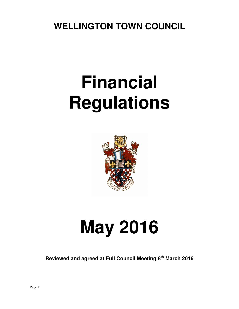**WELLINGTON TOWN COUNCIL** 

# **Financial Regulations**



# **May 2016**

**Reviewed and agreed at Full Council Meeting 8th March 2016**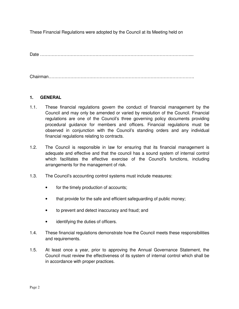These Financial Regulations were adopted by the Council at its Meeting held on

Date …………………………………………………………………………………………....

Chairman……………………………………………………………………………………….

# **1. GENERAL**

- 1.1. These financial regulations govern the conduct of financial management by the Council and may only be amended or varied by resolution of the Council. Financial regulations are one of the Council's three governing policy documents providing procedural guidance for members and officers. Financial regulations must be observed in conjunction with the Council's standing orders and any individual financial regulations relating to contracts.
- 1.2. The Council is responsible in law for ensuring that its financial management is adequate and effective and that the council has a sound system of internal control which facilitates the effective exercise of the Council's functions, including arrangements for the management of risk.
- 1.3. The Council's accounting control systems must include measures:
	- for the timely production of accounts;
	- that provide for the safe and efficient safeguarding of public money;
	- to prevent and detect inaccuracy and fraud; and
	- identifying the duties of officers.
- 1.4. These financial regulations demonstrate how the Council meets these responsibilities and requirements.
- 1.5. At least once a year, prior to approving the Annual Governance Statement, the Council must review the effectiveness of its system of internal control which shall be in accordance with proper practices.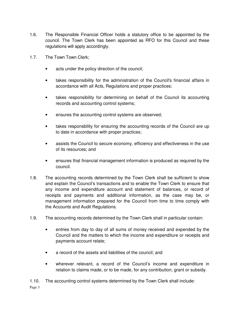- 1.6. The Responsible Financial Officer holds a statutory office to be appointed by the council. The Town Clerk has been appointed as RFO for this Council and these regulations will apply accordingly.
- 1.7. The Town Town Clerk;
	- acts under the policy direction of the council;
	- takes responsibility for the administration of the Council's financial affairs in accordance with all Acts, Regulations and proper practices;
	- takes responsibility for determining on behalf of the Council its accounting records and accounting control systems;
	- ensures the accounting control systems are observed;
	- takes responsbility for ensuring the accounting records of the Council are up to date in accordance with proper practices;
	- assists the Council to secure economy, efficiency and effectiveness in the use of its resources; and
	- ensures that financial management information is produced as required by the council.
- 1.8. The accounting records determined by the Town Clerk shall be sufficient to show and explain the Council's transactions and to enable the Town Clerk to ensure that any income and expenditure account and statement of balances, or record of receipts and payments and additional information, as the case may be, or management information prepared for the Council from time to time comply with the Accounts and Audit Regulations.
- 1.9. The accounting records determined by the Town Clerk shall in particular contain:
	- entries from day to day of all sums of money received and expended by the Council and the matters to which the income and expenditure or receipts and payments account relate;
	- a record of the assets and liabilities of the council; and
	- wherever relevant, a record of the Council's income and expenditure in relation to claims made, or to be made, for any contribution, grant or subsidy.
- 1.10. The accounting control systems determined by the Town Clerk shall include: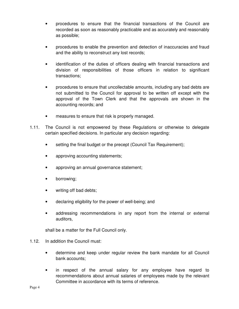- procedures to ensure that the financial transactions of the Council are recorded as soon as reasonably practicable and as accurately and reasonably as possible;
- procedures to enable the prevention and detection of inaccuracies and fraud and the ability to reconstruct any lost records;
- identification of the duties of officers dealing with financial transactions and division of responsibilities of those officers in relation to significant transactions;
- procedures to ensure that uncollectable amounts, including any bad debts are not submitted to the Council for approval to be written off except with the approval of the Town Clerk and that the approvals are shown in the accounting records; and
- measures to ensure that risk is properly managed.
- 1.11. The Council is not empowered by these Regulations or otherwise to delegate certain specified decisions. In particular any decision regarding:
	- setting the final budget or the precept (Council Tax Requirement);
	- approving accounting statements;
	- approving an annual governance statement;
	- borrowing;
	- writing off bad debts;
	- declaring eligibility for the power of well-being; and
	- addressing recommendations in any report from the internal or external auditors,

shall be a matter for the Full Council only.

- 1.12. In addition the Council must:
	- determine and keep under regular review the bank mandate for all Council bank accounts;
	- in respect of the annual salary for any employee have regard to recommendations about annual salaries of employees made by the relevant Committee in accordance with its terms of reference.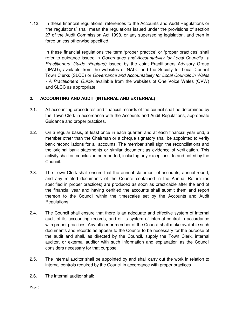1.13. In these financial regulations, references to the Accounts and Audit Regulations or 'the regulations' shall mean the regulations issued under the provisions of section 27 of the Audit Commission Act 1998, or any superseding legislation, and then in force unless otherwise specified.

In these financial regulations the term 'proper practice' or 'proper practices' shall refer to guidance issued in Governance and Accountability for Local Councils- a Practitioners' Guide (England) issued by the Joint Practitioners Advisory Group (JPAG), available from the websites of NALC and the Society for Local Council Town Clerks (SLCC) or Governance and Accountability for Local Councils in Wales - A Practitioners' Guide, available from the websites of One Voice Wales (OVW) and SLCC as appropriate.

# **2. ACCOUNTING AND AUDIT (INTERNAL AND EXTERNAL)**

- 2.1. All accounting procedures and financial records of the council shall be determined by the Town Clerk in accordance with the Accounts and Audit Regulations, appropriate Guidance and proper practices.
- 2.2. On a regular basis, at least once in each quarter, and at each financial year end, a member other than the Chairman or a cheque signatory shall be appointed to verify bank reconciliations for all accounts. The member shall sign the reconciliations and the original bank statements or similar document as evidence of verification. This activity shall on conclusion be reported, including any exceptions, to and noted by the Council.
- 2.3. The Town Clerk shall ensure that the annual statement of accounts, annual report, and any related documents of the Council contained in the Annual Return (as specified in proper practices) are produced as soon as practicable after the end of the financial year and having certified the accounts shall submit them and report thereon to the Council within the timescales set by the Accounts and Audit Regulations.
- 2.4. The Council shall ensure that there is an adequate and effective system of internal audit of its accounting records, and of its system of internal control in accordance with proper practices. Any officer or member of the Council shall make available such documents and records as appear to the Council to be necessary for the purpose of the audit and shall, as directed by the Council, supply the Town Clerk, internal auditor, or external auditor with such information and explanation as the Council considers necessary for that purpose.
- 2.5. The internal auditor shall be appointed by and shall carry out the work in relation to internal controls required by the Council in accordance with proper practices.
- 2.6. The internal auditor shall: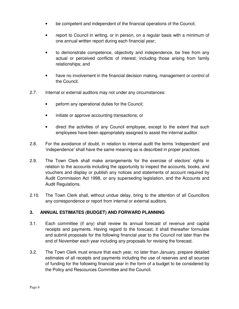- be competent and independent of the financial operations of the Council;
- report to Council in writing, or in person, on a regular basis with a minimum of one annual written report during each financial year;
- to demonstrate competence, objectivity and independence, be free from any actual or perceived conflicts of interest, including those arising from family relationships; and
- have no involvement in the financial decision making, management or control of the Council.
- 2.7. Internal or external auditors may not under any circumstances:
	- peform any operational duties for the Council;
	- initiate or approve accounting transactions; or
	- direct the activities of any Council employee, except to the extent that such employees have been appropriately assigned to assist the internal auditor.
- 2.8. For the avoidance of doubt, in relation to internal audit the terms 'independent' and 'independence' shall have the same meaning as is described in proper practices.
- 2.9. The Town Clerk shall make arrangements for the exercise of electors' rights in relation to the accounts including the opportunity to inspect the accounts, books, and vouchers and display or publish any notices and statements of account required by Audit Commission Act 1998, or any superseding legislation, and the Accounts and Audit Regulations.
- 2.10. The Town Clerk shall, without undue delay, bring to the attention of all Councillors any correspondence or report from internal or external auditors.

# **3. ANNUAL ESTIMATES (BUDGET) AND FORWARD PLANNING**

- 3.1. Each committee (if any) shall review its annual forecast of revenue and capital receipts and payments. Having regard to the forecast, it shall thereafter formulate and submit proposals for the following financial year to the Council not later than the end of November each year including any proposals for revising the forecast.
- 3.2. The Town Clerk must ensure that each year, no later than January, prepare detailed estimates of all receipts and payments including the use of reserves and all sources of funding for the following financial year in the form of a budget to be considered by the Policy and Rescources Committee and the Council.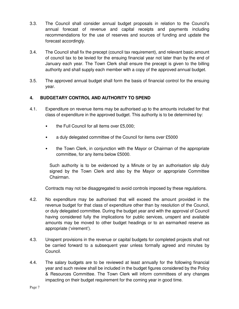- 3.3. The Council shall consider annual budget proposals in relation to the Council's annual forecast of revenue and capital receipts and payments including recommendations for the use of reserves and sources of funding and update the forecast accordingly.
- 3.4. The Council shall fix the precept (council tax requirement), and relevant basic amount of council tax to be levied for the ensuing financial year not later than by the end of January each year. The Town Clerk shall ensure the precept is given to the billing authority and shall supply each member with a copy of the approved annual budget.
- 3.5. The approved annual budget shall form the basis of financial control for the ensuing year.

# **4. BUDGETARY CONTROL AND AUTHORITY TO SPEND**

- 4.1. Expenditure on revenue items may be authorised up to the amounts included for that class of expenditure in the approved budget. This authority is to be determined by:
	- the Full Council for all items over £5,000;
	- a duly delegated committee of the Council for items over £5000
	- the Town Clerk, in conjunction with the Mayor or Chairman of the appropriate committee, for any items below £5000.

Such authority is to be evidenced by a Minute or by an authorisation slip duly signed by the Town Clerk and also by the Mayor or appropriate Committee Chairman.

Contracts may not be disaggregated to avoid controls imposed by these regulations.

- 4.2. No expenditure may be authorised that will exceed the amount provided in the revenue budget for that class of expenditure other than by resolution of the Council, or duly delegated committee. During the budget year and with the approval of Council having considered fully the implications for public services, unspent and available amounts may be moved to other budget headings or to an earmarked reserve as appropriate ('virement').
- 4.3. Unspent provisions in the revenue or capital budgets for completed projects shall not be carried forward to a subsequent year unless formally agreed and minutes by Council.
- 4.4. The salary budgets are to be reviewed at least annually for the following financial year and such review shall be included in the budget figures considered by the Policy & Resources Committee. The Town Clerk will inform committees of any changes impacting on their budget requirement for the coming year in good time.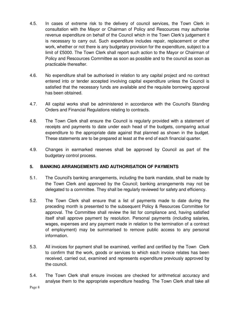- 4.5. In cases of extreme risk to the delivery of council services, the Town Clerk in consultation with the Mayor or Chairman of Policy and Rescources may authorise revenue expenditure on behalf of the Council which in the Town Clerk's judgement it is necessary to carry out. Such expenditure includes repair, replacement or other work, whether or not there is any budgetary provision for the expenditure, subject to a limit of £5000. The Town Clerk shall report such action to the Mayor or Chairman of Policy and Rescources Committee as soon as possible and to the council as soon as practicable thereafter.
- 4.6. No expenditure shall be authorised in relation to any capital project and no contract entered into or tender accepted involving capital expenditure unless the Council is satisfied that the necessary funds are available and the requisite borrowing approval has been obtained.
- 4.7. All capital works shall be administered in accordance with the Council's Standing Orders and Financial Regulations relating to contracts.
- 4.8. The Town Clerk shall ensure the Council is regularly provided with a statement of receipts and payments to date under each head of the budgets, comparing actual expenditure to the appropriate date against that planned as shown in the budget. These statements are to be prepared at least at the end of each financial quarter.
- 4.9. Changes in earmarked reserves shall be approved by Council as part of the budgetary control process.

# **5. BANKING ARRANGEMENTS AND AUTHORISATION OF PAYMENTS**

- 5.1. The Council's banking arrangements, including the bank mandate, shall be made by the Town Clerk and approved by the Council; banking arrangements may not be delegated to a committee. They shall be regularly reviewed for safety and efficiency.
- 5.2. The Town Clerk shall ensure that a list of payments made to date during the preceding month is presented to the subsequent Policy & Resources Committee for approval. The Committee shall review the list for compliance and, having satisfied itself shall approve payment by resolution. Personal payments (including salaries, wages, expenses and any payment made in relation to the termination of a contract of employment) may be summarised to remove public access to any personal information.
- 5.3. All invoices for payment shall be examined, verified and certified by the Town Clerk to confirm that the work, goods or services to which each invoice relates has been received, carried out, examined and represents expenditure previously approved by the council.
- 5.4. The Town Clerk shall ensure invoices are checked for arithmetical accuracy and analyse them to the appropriate expenditure heading. The Town Clerk shall take all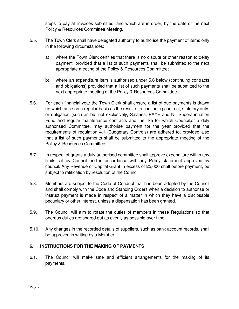steps to pay all invoices submitted, and which are in order, by the date of the next Policy & Resources Committee Meeting.

- 5.5. The Town Clerk shall have delegated authority to authorise the payment of items only in the following circumstances:
	- a) where the Town Clerk certifies that there is no dispute or other reason to delay payment, provided that a list of such payments shall be submitted to the next appropriate meeting of the Policy & Resources Committee;
	- b) where an expenditure item is authorised under 5.6 below (continuing contracts and obligations) provided that a list of such payments shall be submitted to the next appropriate meeting of the Policy & Resources Committee.
- 5.6. For each financial year the Town Clerk shall ensure a list of due payments is drawn up which arise on a regular basis as the result of a continuing contract, statutory duty, or obligation (such as but not exclusively, Salaries, PAYE and NI, Superannuation Fund and regular maintenance contracts and the like for which Council,or a duly authorised Committee, may authorise payment for the year provided that the requirements of regulation 4.1 (Budgetary Controls) are adhered to, provided also that a list of such payments shall be submitted to the appropriate meeting of the Policy & Resources Committee.
- 5.7. In respect of grants a duly authorised committee shall approve expenditure within any limits set by Council and in accordance with any Policy statement approved by council. Any Revenue or Capital Grant in excess of £5,000 shall before payment, be subject to ratification by resolution of the Council.
- 5.8. Members are subject to the Code of Conduct that has been adopted by the Council and shall comply with the Code and Standing Orders when a decision to authorise or instruct payment is made in respect of a matter in which they have a disclosable pecuniary or other interest, unless a dispensation has been granted.
- 5.9. The Council will aim to rotate the duties of members in these Regulations so that onerous duties are shared out as evenly as possible over time.
- 5.10. Any changes in the recorded details of suppliers, such as bank account records, shall be approved in writing by a Member.

# **6. INSTRUCTIONS FOR THE MAKING OF PAYMENTS**

6.1. The Council will make safe and efficient arrangements for the making of its payments.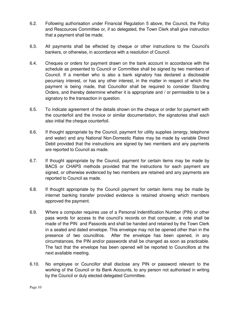- 6.2. Following authorisation under Financial Regulation 5 above, the Council, the Poilcy and Rescources Committee or, if so delegated, the Town Clerk shall give instruction that a payment shall be made.
- 6.3. All payments shall be effected by cheque or other instructions to the Council's bankers, or otherwise, in accordance with a resolution of Council.
- 6.4. Cheques or orders for payment drawn on the bank account in accordance with the schedule as presented to Council or Committee shall be signed by two members of Council. If a member who is also a bank signatory has declared a disclosable pecuniary interest, or has any other interest, in the matter in respect of which the payment is being made, that Councillor shall be required to consider Standing Orders, and thereby determine whether it is appropriate and / or permissible to be a signatory to the transaction in question.
- 6.5. To indicate agreement of the details shown on the cheque or order for payment with the counterfoil and the invoice or similar documentation, the signatories shall each also initial the cheque counterfoil.
- 6.6. If thought appropriate by the Council, payment for utility supplies (energy, telephone and water) and any National Non-Domestic Rates may be made by variable Direct Debit provided that the instructions are signed by two members and any payments are reported to Council as made.
- 6.7. If thought appropriate by the Council, payment for certain items may be made by BACS or CHAPS methods provided that the instructions for each payment are signed, or otherwise evidenced by two members are retained and any payments are reported to Council as made.
- 6.8. If thought appropriate by the Council payment for certain items may be made by internet banking transfer provided evidence is retained showing which members approved the payment.
- 6.9. Where a computer requires use of a Personal Indentification Number (PIN) or other pass words for access to the council's records on that computer, a note shall be made of the PIN and Passords and shall be handed and retained by the Town Clerk in a sealed and dated envelope. This envelope may not be opened other than in the presence of two councillros. After the envelope has been opened, in any circumstances, the PIN and/or passwords shall be changed as soon as practicable. The fact that the envelope has been opened will be reported to Councillors at the next available meeting.
- 6.10. No employee or Councillor shall disclose any PIN or password relevant to the working of the Council or its Bank Accounts, to any person not authorised in writing by the Council or duly elected delegated Committee.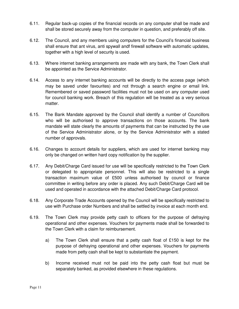- 6.11. Regular back-up copies of the financial records on any computer shall be made and shall be stored securely away from the computer in question, and preferably off site.
- 6.12. The Council, and any members using computers for the Council's financial business shall ensure that ant virus, anti spywall andf firewall software with automatic updates, together with a high level of security is used.
- 6.13. Where internet banking arrangements are made with any bank, the Town Clerk shall be appointed as the Service Administrator.
- 6.14. Access to any internet banking accounts will be directly to the access page (which may be saved under favourites) and not through a search engine or email link. Remembered or saved password facilities must not be used on any computer used for council banking work. Breach of this regulation will be treated as a very serious matter.
- 6.15. The Bank Mandate approved by the Council shall identify a number of Councillors who will be authorised to approve transactions on those accounts. The bank mandate will state clearly the amounts of payments that can be instructed by the use of the Service Administrator alone, or by the Service Administrator with a stated number of approvals.
- 6.16. Changes to account details for suppliers, which are used for internet banking may only be changed on written hard copy notification by the supplier.
- 6.17. Any Debit/Charge Card issued for use will be specifically restricted to the Town Clerk or delegated to appropriate personnel. This will also be restricted to a single transaction maximum value of £500 unless authorised by council or finance committee in writing before any order is placed. Any such Debit/Charge Card will be used and operated in accordance with the attached Debit/Charge Card protocol.
- 6.18. Any Corporate Trade Accounts opened by the Council will be specifically restricted to use with Purchase order Numbers and shall be settled by invoice at each month end.
- 6.19. The Town Clerk may provide petty cash to officers for the purpose of defraying operational and other expenses. Vouchers for payments made shall be forwarded to the Town Clerk with a claim for reimbursement.
	- a) The Town Clerk shall ensure that a petty cash float of £150 is kept for the purpose of defraying operational and other expenses. Vouchers for payments made from petty cash shall be kept to substantiate the payment.
	- b) Income received must not be paid into the petty cash float but must be separately banked, as provided elsewhere in these regulations.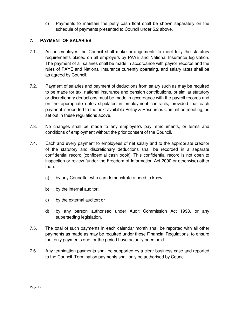c) Payments to maintain the petty cash float shall be shown separately on the schedule of payments presented to Council under 5.2 above.

# **7. PAYMENT OF SALARIES**

- 7.1. As an employer, the Council shall make arrangements to meet fully the statutory requirements placed on all employers by PAYE and National Insurance legislation. The payment of all salaries shall be made in accordance with payroll records and the rules of PAYE and National Insurance currently operating, and salary rates shall be as agreed by Council.
- 7.2. Payment of salaries and payment of deductions from salary such as may be required to be made for tax, national insurance and pension contributions, or similar statutory or discretionary deductions must be made in accordance with the payroll records and on the appropriate dates stipulated in employment contracts, provided that each payment is reported to the next available Policy & Resources Committee meeting, as set out in these regulations above.
- 7.3. No changes shall be made to any employee's pay, emoluments, or terms and conditions of employment without the prior consent of the Council.
- 7.4. Each and every payment to employees of net salary and to the appropriate creditor of the statutory and discretionary deductions shall be recorded in a separate confidential record (confidential cash book). This confidential record is not open to inspection or review (under the Freedom of Information Act 2000 or otherwise) other than:
	- a) by any Councillor who can demonstrate a need to know;
	- b) by the internal auditor;
	- c) by the external auditor; or
	- d) by any person authorised under Audit Commission Act 1998, or any superseding legislation.
- 7.5. The total of such payments in each calendar month shall be reported with all other payments as made as may be required under these Financial Regulations, to ensure that only payments due for the period have actually been paid.
- 7.6. Any termination payments shall be supported by a clear business case and reported to the Council. Termination payments shall only be authorised by Council.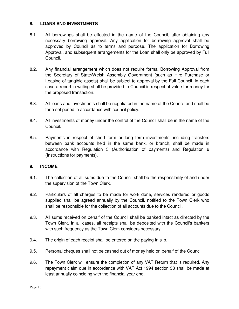#### **8. LOANS AND INVESTMENTS**

- 8.1. All borrowings shall be effected in the name of the Council, after obtaining any necessary borrowing approval. Any application for borrowing approval shall be approved by Council as to terms and purpose. The application for Borrowing Approval, and subsequent arrangements for the Loan shall only be approved by Full Council.
- 8.2. Any financial arrangement which does not require formal Borrowing Approval from the Secretary of State/Welsh Assembly Government (such as Hire Purchase or Leasing of tangible assets) shall be subject to approval by the Full Council. In each case a report in writing shall be provided to Council in respect of value for money for the proposed transaction.
- 8.3. All loans and investments shall be negotiated in the name of the Council and shall be for a set period in accordance with council policy.
- 8.4. All investments of money under the control of the Council shall be in the name of the Council.
- 8.5. Payments in respect of short term or long term investments, including transfers between bank accounts held in the same bank, or branch, shall be made in accordance with Regulation 5 (Authorisation of payments) and Regulation 6 (Instructions for payments).

# **9. INCOME**

- 9.1. The collection of all sums due to the Council shall be the responsibility of and under the supervision of the Town Clerk.
- 9.2. Particulars of all charges to be made for work done, services rendered or goods supplied shall be agreed annually by the Council, notified to the Town Clerk who shall be responsible for the collection of all accounts due to the Council.
- 9.3. All sums received on behalf of the Council shall be banked intact as directed by the Town Clerk. In all cases, all receipts shall be deposited with the Council's bankers with such frequency as the Town Clerk considers necessary.
- 9.4. The origin of each receipt shall be entered on the paying-in slip.
- 9.5. Personal cheques shall not be cashed out of money held on behalf of the Council.
- 9.6. The Town Clerk will ensure the completion of any VAT Return that is required. Any repayment claim due in accordance with VAT Act 1994 section 33 shall be made at least annually coinciding with the financial year end.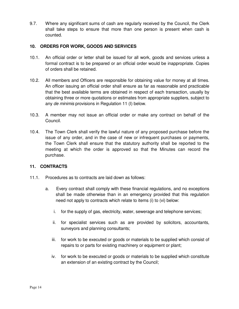9.7. Where any significant sums of cash are regularly received by the Council, the Clerk shall take steps to ensure that more than one person is present when cash is counted.

#### **10. ORDERS FOR WORK, GOODS AND SERVICES**

- 10.1. An official order or letter shall be issued for all work, goods and services unless a formal contract is to be prepared or an official order would be inappropriate. Copies of orders shall be retained.
- 10.2. All members and Officers are responsible for obtaining value for money at all times. An officer issuing an official order shall ensure as far as reasonable and practicable that the best available terms are obtained in respect of each transaction, usually by obtaining three or more quotations or estimates from appropriate suppliers, subject to any de minimis provisions in Regulation 11 (I) below.
- 10.3. A member may not issue an official order or make any contract on behalf of the Council.
- 10.4. The Town Clerk shall verify the lawful nature of any proposed purchase before the issue of any order, and in the case of new or infrequent purchases or payments, the Town Clerk shall ensure that the statutory authority shall be reported to the meeting at which the order is approved so that the Minutes can record the purchase.

# **11. CONTRACTS**

- 11.1. Procedures as to contracts are laid down as follows:
	- a. Every contract shall comply with these financial regulations, and no exceptions shall be made otherwise than in an emergency provided that this regulation need not apply to contracts which relate to items (i) to (vi) below:
		- i. for the supply of gas, electricity, water, sewerage and telephone services;
		- ii. for specialist services such as are provided by solicitors, accountants, surveyors and planning consultants;
		- iii. for work to be executed or goods or materials to be supplied which consist of repairs to or parts for existing machinery or equipment or plant;
		- iv. for work to be executed or goods or materials to be supplied which constitute an extension of an existing contract by the Council;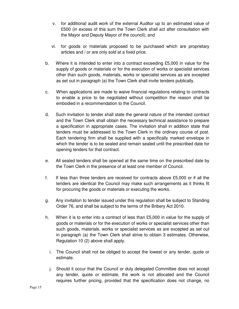- v. for additional audit work of the external Auditor up to an estimated value of £500 (in excess of this sum the Town Clerk shall act after consultation with the Mayor and Deputy Mayor of the council); and
- vi. for goods or materials proposed to be purchased which are proprietary articles and / or are only sold at a fixed price.
- b. Where it is intended to enter into a contract exceeding £5,000 in value for the supply of goods or materials or for the execution of works or specialist services other than such goods, materials, works or specialist services as are excepted as set out in paragraph (a) the Town Clerk shall invite tenders publically.
- c. When applications are made to waive financial regulations relating to contracts to enable a price to be negotiated without competition the reason shall be embodied in a recommendation to the Council.
- d. Such invitation to tender shall state the general nature of the intended contract and the Town Clerk shall obtain the necessary technical assistance to prepare a specification in appropriate cases. The invitation shall in addition state that tenders must be addressed to the Town Clerk in the ordinary course of post. Each tendering firm shall be supplied with a specifically marked envelope in which the tender is to be sealed and remain sealed until the prescribed date for opening tenders for that contract.
- e. All sealed tenders shall be opened at the same time on the prescribed date by the Town Clerk in the presence of at least one member of Council.
- f. If less than three tenders are received for contracts above £5,000 or if all the tenders are identical the Council may make such arrangements as it thinks fit for procuring the goods or materials or executing the works.
- g. Any invitation to tender issued under this regulation shall be subject to Standing Order 76, and shall be subject to the terms of the Bribery Act 2010.
- h. When it is to enter into a contract of less than £5,000 in value for the supply of goods or materials or for the execution of works or specialist services other than such goods, materials, works or specialist services as are excepted as set out in paragraph (a) the Town Clerk shall strive to obtain 3 estimates. Otherwise, Regulation 10 (2) above shall apply.
	- i. The Council shall not be obliged to accept the lowest or any tender, quote or estimate.
	- j. Should it occur that the Council or duly delegated Committee does not accept any tender, quote or estimate, the work is not allocated and the Council requires further pricing, provided that the specification does not change, no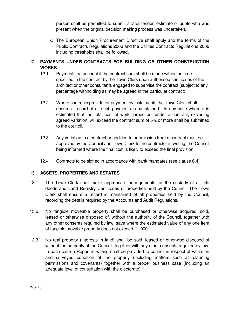person shall be permitted to submit a later tender, estimate or quote who was present when the original decision making process was undertaken.

k. The European Union Procurement Directive shall apply and the terms of the Public Contracts Regulations 2006 and the Utilities Contracts Regulations 2006 including thresholds shall be followed.

# **12. PAYMENTS UNDER CONTRACTS FOR BUILDING OR OTHER CONSTRUCTION WORKS**

- 12.1 Payments on account if the contract sum shall be made within the time specified in the contract by the Town Clerk upon authorised certificates of the architect or other consultants engaged to supervise the contract (subject to any percentage withholding as may be agreed in the particulat contract)
- 12.2 Where contracts provide for payment by instalments the Town Clerk shall ensure a record of all such payments is maintained. In any case where it is estimated that the total cost of work carried out under a contract, excluding agreed variation, will exceed the contract sum of 5% or more shall be submitted to the council.
- 12.3 Any variation to a contract or addition to or omission from a contract must be approved by the Council and Town Clerk to the contractor in writing, the Council being informed where the final cost is likely to exceed the final provision.
- 12.4 Contracts to be signed in accordance with bank mandates (see clause 6.4)

#### **13. ASSETS, PROPERTIES AND ESTATES**

- 13.1. The Town Clerk shall make appropriate arrangements for the custody of all title deeds and Land Registry Certificates of properties held by the Council. The Town Clerk shall ensure a record is maintained of all properties held by the Council, recording the details required by the Accounts and Audit Regulations.
- 13.2. No tangible moveable property shall be purchased or otherwise acquired, sold, leased or otherwise disposed of, without the authority of the Council, together with any other consents required by law, save where the estimated value of any one item of tangible movable property does not exceed £1,000.
- 13.3. No real property (interests in land) shall be sold, leased or otherwise disposed of without the authority of the Council, together with any other consents required by law, In each case a Report in writing shall be provided to council in respect of valuation and surveyed condition of the property (including matters such as planning permissions and covenants) together with a proper business case (including an adequate level of consultation with the electorate).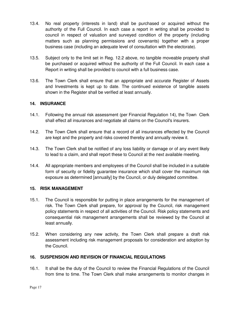- 13.4. No real property (interests in land) shall be purchased or acquired without the authority of the Full Council. In each case a report in writing shall be provided to council in respect of valuation and surveyed condition of the property (including matters such as planning permissions and covenants) together with a proper business case (including an adequate level of consultation with the electorate).
- 13.5. Subject only to the limit set in Reg. 12.2 above, no tangible moveable property shall be purchased or acquired without the authority of the Full Council. In each case a Report in writing shall be provided to council with a full business case.
- 13.6. The Town Clerk shall ensure that an appropriate and accurate Register of Assets and Investments is kept up to date. The continued existence of tangible assets shown in the Register shall be verified at least annually.

# **14. INSURANCE**

- 14.1. Following the annual risk assessment (per Financial Regulation 14), the Town Clerk shall effect all insurances and negotiate all claims on the Council's insurers.
- 14.2. The Town Clerk shall ensure that a record of all insurances effected by the Council are kept and the property and risks covered thereby and annually review it.
- 14.3. The Town Clerk shall be notified of any loss liability or damage or of any event likely to lead to a claim, and shall report these to Council at the next available meeting.
- 14.4. All appropriate members and employees of the Council shall be included in a suitable form of security or fidelity guarantee insurance which shall cover the maximum risk exposure as determined [annually] by the Council, or duly delegated committee.

# **15. RISK MANAGEMENT**

- 15.1. The Council is responsible for putting in place arrangements for the management of risk. The Town Clerk shall prepare, for approval by the Council, risk management policy statements in respect of all activities of the Council. Risk policy statements and consequential risk management arrangements shall be reviewed by the Council at least annually.
- 15.2. When considering any new activity, the Town Clerk shall prepare a draft risk assessment including risk management proposals for consideration and adoption by the Council.

# **16. SUSPENSION AND REVISION OF FINANCIAL REGULATIONS**

16.1. It shall be the duty of the Council to review the Financial Regulations of the Council from time to time. The Town Clerk shall make arrangements to monitor changes in